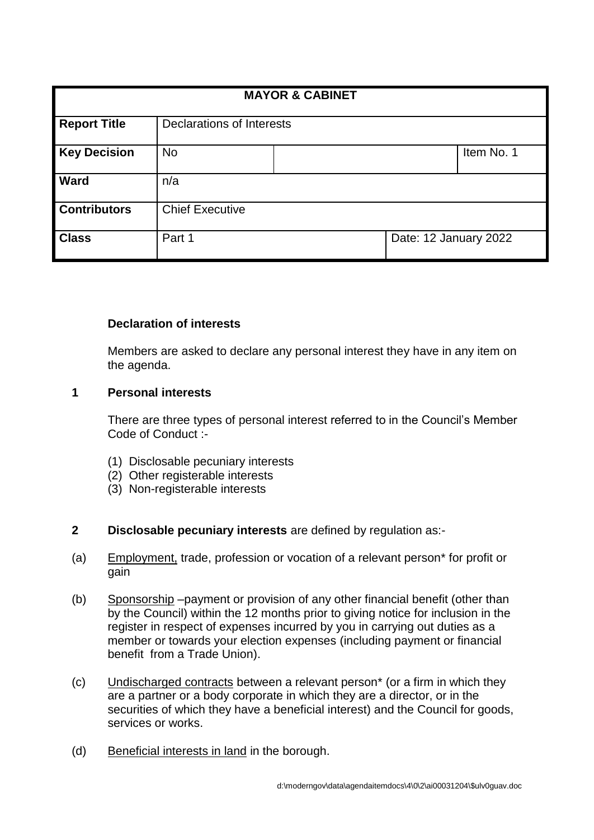| <b>MAYOR &amp; CABINET</b> |                           |  |                       |            |
|----------------------------|---------------------------|--|-----------------------|------------|
|                            |                           |  |                       |            |
| <b>Report Title</b>        | Declarations of Interests |  |                       |            |
| <b>Key Decision</b>        | <b>No</b>                 |  |                       | Item No. 1 |
| <b>Ward</b>                | n/a                       |  |                       |            |
| <b>Contributors</b>        | <b>Chief Executive</b>    |  |                       |            |
| <b>Class</b>               | Part 1                    |  | Date: 12 January 2022 |            |

## **Declaration of interests**

Members are asked to declare any personal interest they have in any item on the agenda.

## **1 Personal interests**

There are three types of personal interest referred to in the Council's Member Code of Conduct :-

- (1) Disclosable pecuniary interests
- (2) Other registerable interests
- (3) Non-registerable interests

## **2 Disclosable pecuniary interests** are defined by regulation as:-

- (a) Employment, trade, profession or vocation of a relevant person\* for profit or gain
- (b) Sponsorship –payment or provision of any other financial benefit (other than by the Council) within the 12 months prior to giving notice for inclusion in the register in respect of expenses incurred by you in carrying out duties as a member or towards your election expenses (including payment or financial benefit from a Trade Union).
- (c) Undischarged contracts between a relevant person\* (or a firm in which they are a partner or a body corporate in which they are a director, or in the securities of which they have a beneficial interest) and the Council for goods, services or works.
- (d) Beneficial interests in land in the borough.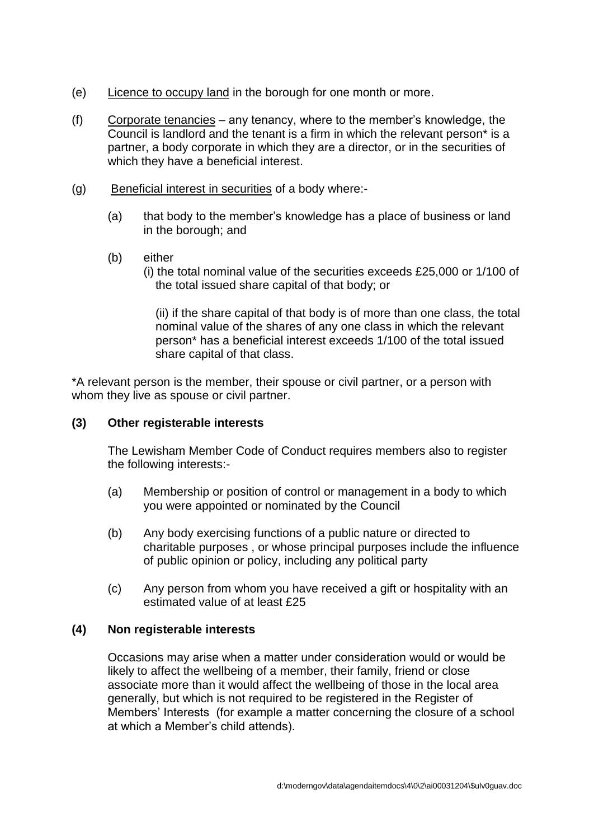- (e) Licence to occupy land in the borough for one month or more.
- (f) Corporate tenancies any tenancy, where to the member's knowledge, the Council is landlord and the tenant is a firm in which the relevant person\* is a partner, a body corporate in which they are a director, or in the securities of which they have a beneficial interest.
- (g) Beneficial interest in securities of a body where:-
	- (a) that body to the member's knowledge has a place of business or land in the borough; and
	- (b) either
		- (i) the total nominal value of the securities exceeds £25,000 or 1/100 of the total issued share capital of that body; or

(ii) if the share capital of that body is of more than one class, the total nominal value of the shares of any one class in which the relevant person\* has a beneficial interest exceeds 1/100 of the total issued share capital of that class.

\*A relevant person is the member, their spouse or civil partner, or a person with whom they live as spouse or civil partner.

### **(3) Other registerable interests**

The Lewisham Member Code of Conduct requires members also to register the following interests:-

- (a) Membership or position of control or management in a body to which you were appointed or nominated by the Council
- (b) Any body exercising functions of a public nature or directed to charitable purposes , or whose principal purposes include the influence of public opinion or policy, including any political party
- (c) Any person from whom you have received a gift or hospitality with an estimated value of at least £25

#### **(4) Non registerable interests**

Occasions may arise when a matter under consideration would or would be likely to affect the wellbeing of a member, their family, friend or close associate more than it would affect the wellbeing of those in the local area generally, but which is not required to be registered in the Register of Members' Interests (for example a matter concerning the closure of a school at which a Member's child attends).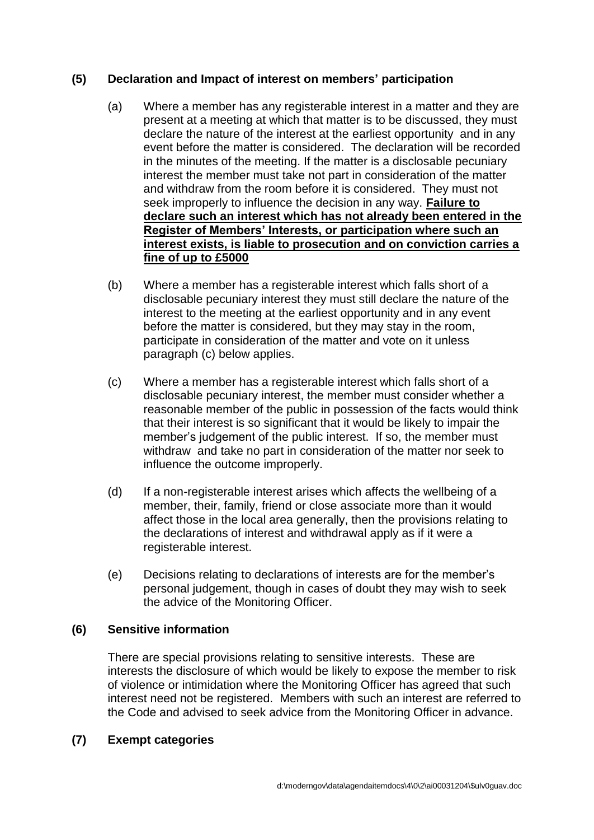# **(5) Declaration and Impact of interest on members' participation**

- (a) Where a member has any registerable interest in a matter and they are present at a meeting at which that matter is to be discussed, they must declare the nature of the interest at the earliest opportunity and in any event before the matter is considered. The declaration will be recorded in the minutes of the meeting. If the matter is a disclosable pecuniary interest the member must take not part in consideration of the matter and withdraw from the room before it is considered. They must not seek improperly to influence the decision in any way. **Failure to declare such an interest which has not already been entered in the Register of Members' Interests, or participation where such an interest exists, is liable to prosecution and on conviction carries a fine of up to £5000**
- (b) Where a member has a registerable interest which falls short of a disclosable pecuniary interest they must still declare the nature of the interest to the meeting at the earliest opportunity and in any event before the matter is considered, but they may stay in the room, participate in consideration of the matter and vote on it unless paragraph (c) below applies.
- (c) Where a member has a registerable interest which falls short of a disclosable pecuniary interest, the member must consider whether a reasonable member of the public in possession of the facts would think that their interest is so significant that it would be likely to impair the member's judgement of the public interest. If so, the member must withdraw and take no part in consideration of the matter nor seek to influence the outcome improperly.
- (d) If a non-registerable interest arises which affects the wellbeing of a member, their, family, friend or close associate more than it would affect those in the local area generally, then the provisions relating to the declarations of interest and withdrawal apply as if it were a registerable interest.
- (e) Decisions relating to declarations of interests are for the member's personal judgement, though in cases of doubt they may wish to seek the advice of the Monitoring Officer.

## **(6) Sensitive information**

There are special provisions relating to sensitive interests. These are interests the disclosure of which would be likely to expose the member to risk of violence or intimidation where the Monitoring Officer has agreed that such interest need not be registered. Members with such an interest are referred to the Code and advised to seek advice from the Monitoring Officer in advance.

## **(7) Exempt categories**